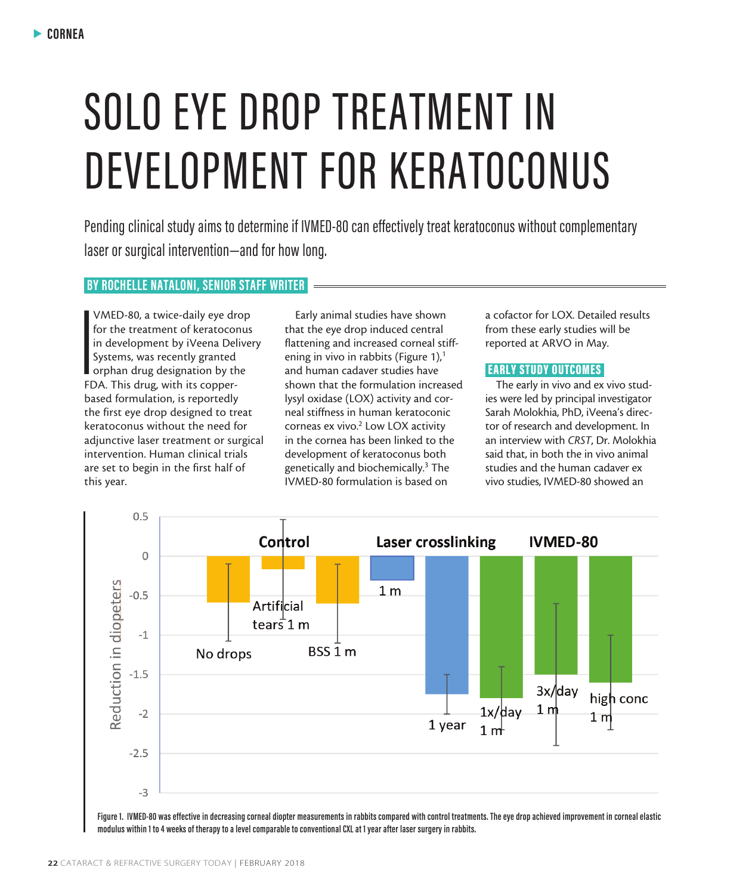# SOLO EYE DROP TREATMENT IN DEVELOPMENT FOR KERATOCONUS

Pending clinical study aims to determine if IVMED-80 can effectively treat keratoconus without complementary laser or surgical intervention—and for how long.

## **BY ROCHELLE NATALONI, SENIOR STAFF WRITER**

**I**<br>I<br>FC<br>FC VMED-80, a twice-daily eye drop for the treatment of keratoconus in development by iVeena Delivery Systems, was recently granted orphan drug designation by the FDA. This drug, with its copperbased formulation, is reportedly the first eye drop designed to treat keratoconus without the need for adjunctive laser treatment or surgical intervention. Human clinical trials are set to begin in the first half of this year.

Early animal studies have shown that the eye drop induced central flattening and increased corneal stiffening in vivo in rabbits (Figure 1), $<sup>1</sup>$ </sup> and human cadaver studies have shown that the formulation increased lysyl oxidase (LOX) activity and corneal stiffness in human keratoconic corneas ex vivo.<sup>2</sup> Low LOX activity in the cornea has been linked to the development of keratoconus both genetically and biochemically.<sup>3</sup> The IVMED-80 formulation is based on

a cofactor for LOX. Detailed results from these early studies will be reported at ARVO in May.

## EARLY STUDY OUTCOMES

The early in vivo and ex vivo studies were led by principal investigator Sarah Molokhia, PhD, iVeena's director of research and development. In an interview with *CRST*, Dr. Molokhia said that, in both the in vivo animal studies and the human cadaver ex vivo studies, IVMED-80 showed an



**modulus within 1 to 4 weeks of therapy to a level comparable to conventional CXL at 1 year after laser surgery in rabbits.**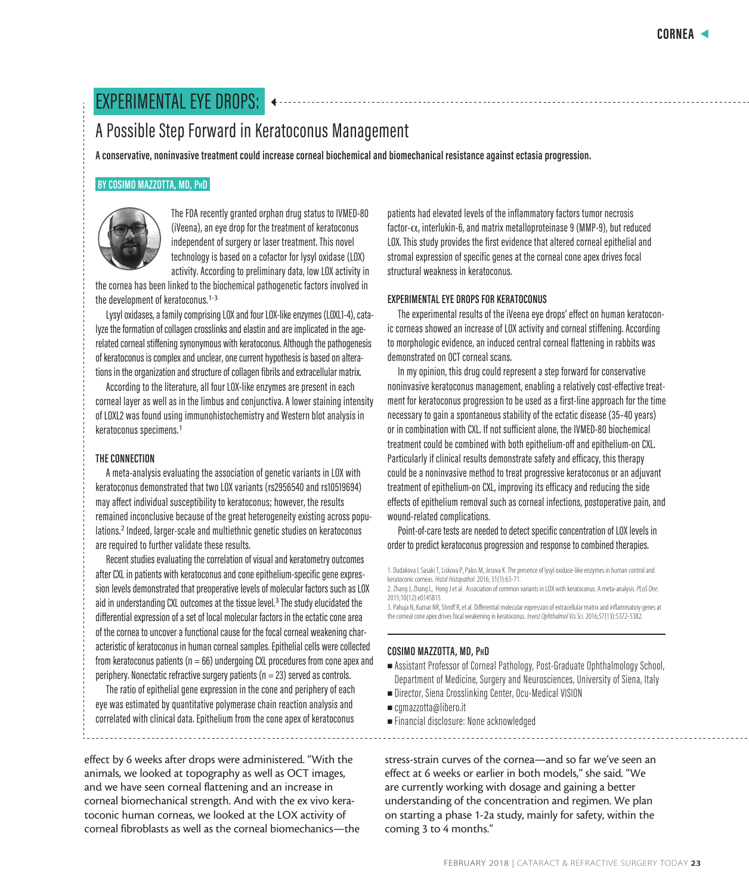# EXPERIMENTAL EYE DROPS:

## A Possible Step Forward in Keratoconus Management

**A conservative, noninvasive treatment could increase corneal biochemical and biomechanical resistance against ectasia progression.**

## **BY COSIMO MAZZOTTA, MD, PhD**



The FDA recently granted orphan drug status to IVMED-80 (iVeena), an eye drop for the treatment of keratoconus independent of surgery or laser treatment. This novel technology is based on a cofactor for lysyl oxidase (LOX) activity. According to preliminary data, low LOX activity in

the cornea has been linked to the biochemical pathogenetic factors involved in the development of keratoconus.<sup>1-3</sup>

Lysyl oxidases, a family comprising LOX and four LOX-like enzymes (LOXL1-4), catalyze the formation of collagen crosslinks and elastin and are implicated in the agerelated corneal stiffening synonymous with keratoconus. Although the pathogenesis of keratoconus is complex and unclear, one current hypothesis is based on alterations in the organization and structure of collagen fibrils and extracellular matrix.

According to the literature, all four LOX-like enzymes are present in each corneal layer as well as in the limbus and conjunctiva. A lower staining intensity of LOXL2 was found using immunohistochemistry and Western blot analysis in keratoconus specimens.<sup>1</sup>

## **THE CONNECTION**

A meta-analysis evaluating the association of genetic variants in LOX with keratoconus demonstrated that two LOX variants (rs2956540 and rs10519694) may affect individual susceptibility to keratoconus; however, the results remained inconclusive because of the great heterogeneity existing across populations.<sup>2</sup> Indeed, larger-scale and multiethnic genetic studies on keratoconus are required to further validate these results.

Recent studies evaluating the correlation of visual and keratometry outcomes after CXL in patients with keratoconus and cone epithelium-specific gene expression levels demonstrated that preoperative levels of molecular factors such as LOX aid in understanding CXL outcomes at the tissue level.<sup>3</sup> The study elucidated the differential expression of a set of local molecular factors in the ectatic cone area of the cornea to uncover a functional cause for the focal corneal weakening characteristic of keratoconus in human corneal samples. Epithelial cells were collected from keratoconus patients ( $n = 66$ ) undergoing CXL procedures from cone apex and periphery. Nonectatic refractive surgery patients ( $n = 23$ ) served as controls.

The ratio of epithelial gene expression in the cone and periphery of each eye was estimated by quantitative polymerase chain reaction analysis and correlated with clinical data. Epithelium from the cone apex of keratoconus

effect by 6 weeks after drops were administered. "With the animals, we looked at topography as well as OCT images, and we have seen corneal flattening and an increase in corneal biomechanical strength. And with the ex vivo keratoconic human corneas, we looked at the LOX activity of corneal fibroblasts as well as the corneal biomechanics—the patients had elevated levels of the inflammatory factors tumor necrosis factor-α, interlukin-6, and matrix metalloproteinase 9 (MMP-9), but reduced LOX. This study provides the first evidence that altered corneal epithelial and stromal expression of specific genes at the corneal cone apex drives focal structural weakness in keratoconus.

## **EXPERIMENTAL EYE DROPS FOR KERATOCONUS**

The experimental results of the iVeena eye drops' effect on human keratoconic corneas showed an increase of LOX activity and corneal stiffening. According to morphologic evidence, an induced central corneal flattening in rabbits was demonstrated on OCT corneal scans.

In my opinion, this drug could represent a step forward for conservative noninvasive keratoconus management, enabling a relatively cost-effective treatment for keratoconus progression to be used as a first-line approach for the time necessary to gain a spontaneous stability of the ectatic disease (35–40 years) or in combination with CXL. If not sufficient alone, the IVMED-80 biochemical treatment could be combined with both epithelium-off and epithelium-on CXL. Particularly if clinical results demonstrate safety and efficacy, this therapy could be a noninvasive method to treat progressive keratoconus or an adjuvant treatment of epithelium-on CXL, improving its efficacy and reducing the side effects of epithelium removal such as corneal infections, postoperative pain, and wound-related complications.

Point-of-care tests are needed to detect specific concentration of LOX levels in order to predict keratoconus progression and response to combined therapies.

1. Dudakova L Sasaki T, Liskova P, Palos M, Jirsova K. The presence of lysyl oxidase-like enzymes in human control and keratoconic corneas. *Histol Histopathol*. 2016; 31(1):63-71.

2. Zhang J, Zhang L, Hong J et al. Association of common variants in LOX with keratoconus: A meta-analysis. *PLoS One.* 2015;10(12):e0145815.

3. Pahuja N, Kumar NR, Shroff R, et al. Differential molecular expression of extracellular matrix and inflammatory genes at the corneal cone apex drives focal weakening in keratoconus. *Invest Ophthalmol Vis Sci.* 2016;57(13):5372-5382.

## **COSIMO MAZZOTTA, MD, PhD**

- <sup>n</sup> Assistant Professor of Corneal Pathology, Post-Graduate Ophthalmology School, Department of Medicine, Surgery and Neurosciences, University of Siena, Italy
- $\blacksquare$  Director, Siena Crosslinking Center, Ocu-Medical VISION
- <sup>n</sup> cgmazzotta@libero.it
- <sup>n</sup> Financial disclosure: None acknowledged

stress-strain curves of the cornea—and so far we've seen an effect at 6 weeks or earlier in both models," she said. "We are currently working with dosage and gaining a better understanding of the concentration and regimen. We plan on starting a phase 1-2a study, mainly for safety, within the coming 3 to 4 months."